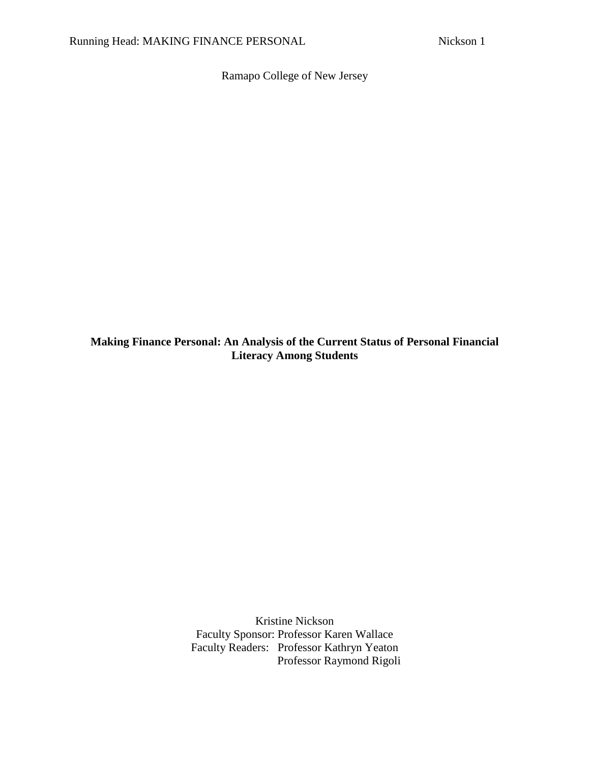Ramapo College of New Jersey

**Making Finance Personal: An Analysis of the Current Status of Personal Financial Literacy Among Students**

> Kristine Nickson Faculty Sponsor: Professor Karen Wallace Faculty Readers: Professor Kathryn Yeaton Professor Raymond Rigoli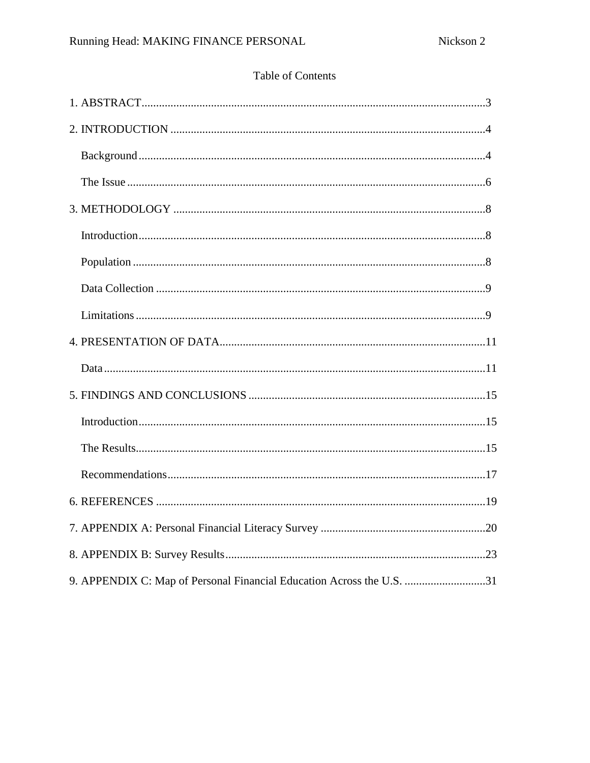## Table of Contents

| 9. APPENDIX C: Map of Personal Financial Education Across the U.S. 31 |
|-----------------------------------------------------------------------|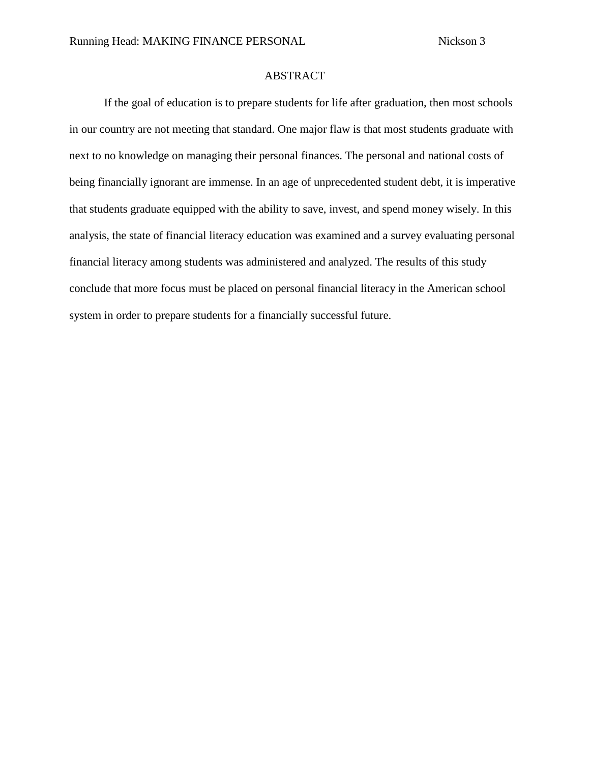## ABSTRACT

If the goal of education is to prepare students for life after graduation, then most schools in our country are not meeting that standard. One major flaw is that most students graduate with next to no knowledge on managing their personal finances. The personal and national costs of being financially ignorant are immense. In an age of unprecedented student debt, it is imperative that students graduate equipped with the ability to save, invest, and spend money wisely. In this analysis, the state of financial literacy education was examined and a survey evaluating personal financial literacy among students was administered and analyzed. The results of this study conclude that more focus must be placed on personal financial literacy in the American school system in order to prepare students for a financially successful future.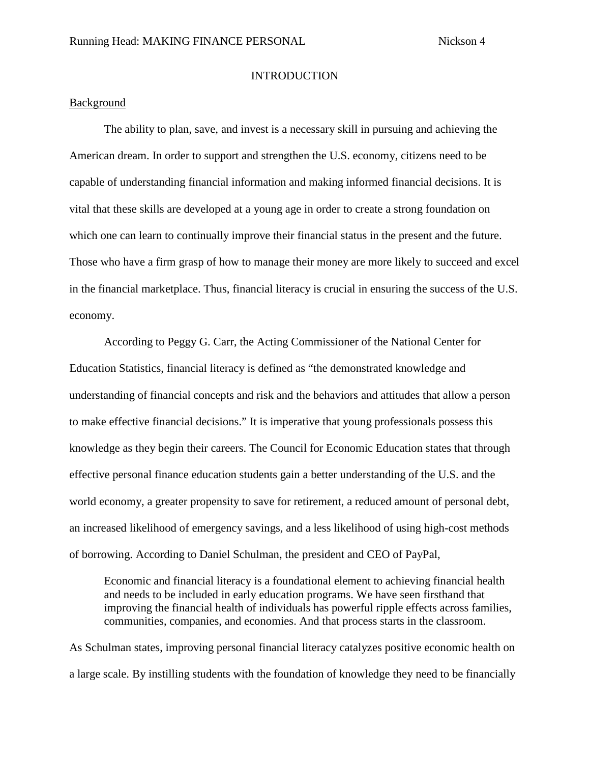#### **INTRODUCTION**

### Background

The ability to plan, save, and invest is a necessary skill in pursuing and achieving the American dream. In order to support and strengthen the U.S. economy, citizens need to be capable of understanding financial information and making informed financial decisions. It is vital that these skills are developed at a young age in order to create a strong foundation on which one can learn to continually improve their financial status in the present and the future. Those who have a firm grasp of how to manage their money are more likely to succeed and excel in the financial marketplace. Thus, financial literacy is crucial in ensuring the success of the U.S. economy.

According to Peggy G. Carr, the Acting Commissioner of the National Center for Education Statistics, financial literacy is defined as "the demonstrated knowledge and understanding of financial concepts and risk and the behaviors and attitudes that allow a person to make effective financial decisions." It is imperative that young professionals possess this knowledge as they begin their careers. The Council for Economic Education states that through effective personal finance education students gain a better understanding of the U.S. and the world economy, a greater propensity to save for retirement, a reduced amount of personal debt, an increased likelihood of emergency savings, and a less likelihood of using high-cost methods of borrowing. According to Daniel Schulman, the president and CEO of PayPal,

Economic and financial literacy is a foundational element to achieving financial health and needs to be included in early education programs. We have seen firsthand that improving the financial health of individuals has powerful ripple effects across families, communities, companies, and economies. And that process starts in the classroom.

As Schulman states, improving personal financial literacy catalyzes positive economic health on a large scale. By instilling students with the foundation of knowledge they need to be financially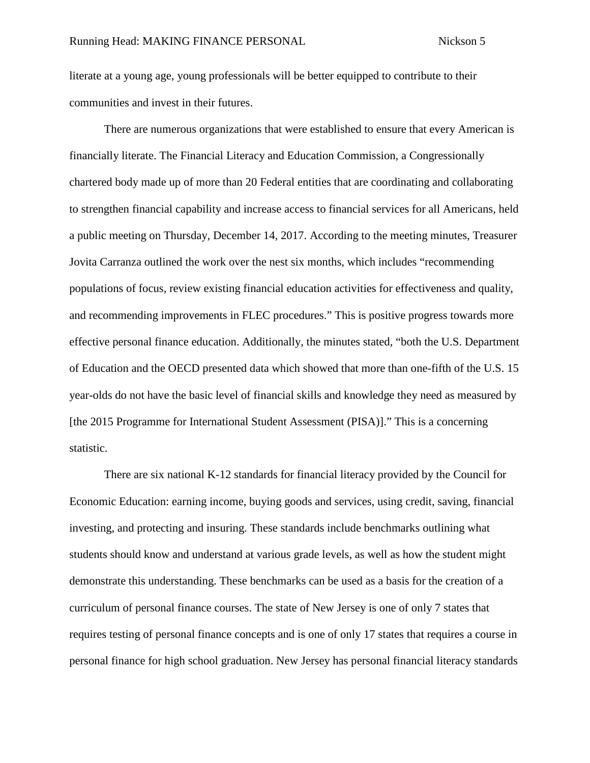literate at a young age, young professionals will be better equipped to contribute to their communities and invest in their futures.

There are numerous organizations that were established to ensure that every American is financially literate. The Financial Literacy and Education Commission, a Congressionally chartered body made up of more than 20 Federal entities that are coordinating and collaborating to strengthen financial capability and increase access to financial services for all Americans, held a public meeting on Thursday, December 14, 2017. According to the meeting minutes, Treasurer Jovita Carranza outlined the work over the nest six months, which includes "recommending populations of focus, review existing financial education activities for effectiveness and quality, and recommending improvements in FLEC procedures." This is positive progress towards more effective personal finance education. Additionally, the minutes stated, "both the U.S. Department of Education and the OECD presented data which showed that more than one-fifth of the U.S. 15 year-olds do not have the basic level of financial skills and knowledge they need as measured by [the 2015 Programme for International Student Assessment (PISA)]." This is a concerning statistic.

There are six national K-12 standards for financial literacy provided by the Council for Economic Education: earning income, buying goods and services, using credit, saving, financial investing, and protecting and insuring. These standards include benchmarks outlining what students should know and understand at various grade levels, as well as how the student might demonstrate this understanding. These benchmarks can be used as a basis for the creation of a curriculum of personal finance courses. The state of New Jersey is one of only 7 states that requires testing of personal finance concepts and is one of only 17 states that requires a course in personal finance for high school graduation. New Jersey has personal financial literacy standards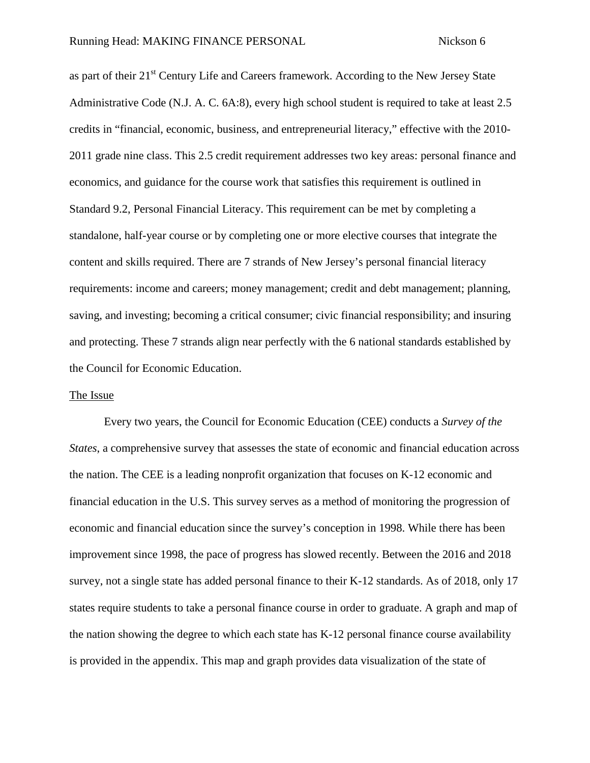as part of their 21<sup>st</sup> Century Life and Careers framework. According to the New Jersey State Administrative Code (N.J. A. C. 6A:8), every high school student is required to take at least 2.5 credits in "financial, economic, business, and entrepreneurial literacy," effective with the 2010- 2011 grade nine class. This 2.5 credit requirement addresses two key areas: personal finance and economics, and guidance for the course work that satisfies this requirement is outlined in Standard 9.2, Personal Financial Literacy. This requirement can be met by completing a standalone, half-year course or by completing one or more elective courses that integrate the content and skills required. There are 7 strands of New Jersey's personal financial literacy requirements: income and careers; money management; credit and debt management; planning, saving, and investing; becoming a critical consumer; civic financial responsibility; and insuring and protecting. These 7 strands align near perfectly with the 6 national standards established by the Council for Economic Education.

#### The Issue

Every two years, the Council for Economic Education (CEE) conducts a *Survey of the States*, a comprehensive survey that assesses the state of economic and financial education across the nation. The CEE is a leading nonprofit organization that focuses on K-12 economic and financial education in the U.S. This survey serves as a method of monitoring the progression of economic and financial education since the survey's conception in 1998. While there has been improvement since 1998, the pace of progress has slowed recently. Between the 2016 and 2018 survey, not a single state has added personal finance to their K-12 standards. As of 2018, only 17 states require students to take a personal finance course in order to graduate. A graph and map of the nation showing the degree to which each state has K-12 personal finance course availability is provided in the appendix. This map and graph provides data visualization of the state of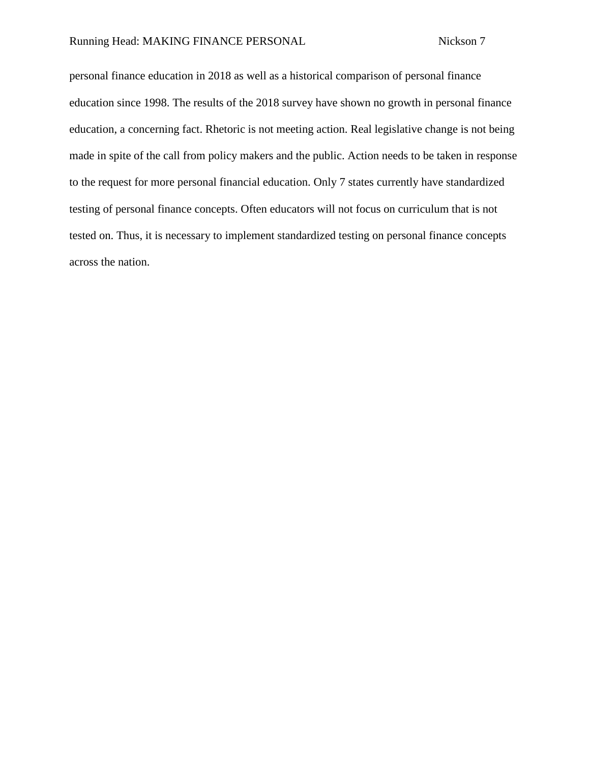personal finance education in 2018 as well as a historical comparison of personal finance education since 1998. The results of the 2018 survey have shown no growth in personal finance education, a concerning fact. Rhetoric is not meeting action. Real legislative change is not being made in spite of the call from policy makers and the public. Action needs to be taken in response to the request for more personal financial education. Only 7 states currently have standardized testing of personal finance concepts. Often educators will not focus on curriculum that is not tested on. Thus, it is necessary to implement standardized testing on personal finance concepts across the nation.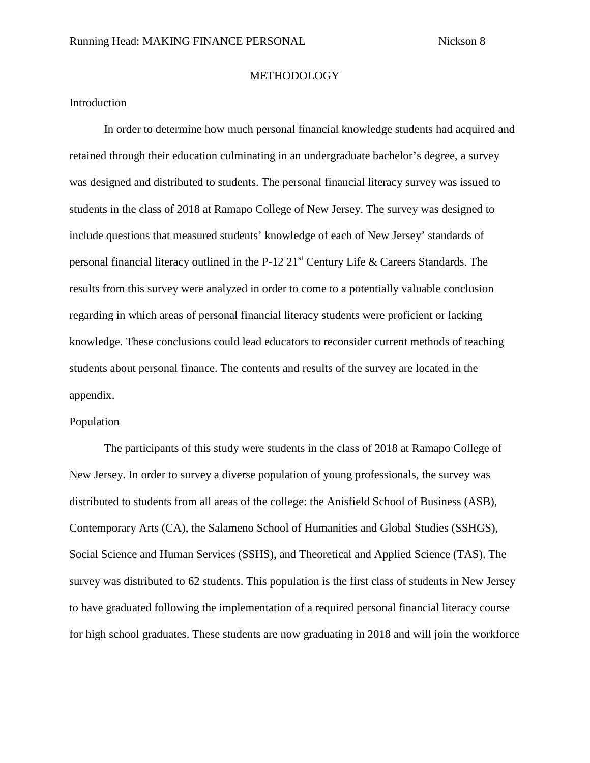#### **METHODOLOGY**

## Introduction

In order to determine how much personal financial knowledge students had acquired and retained through their education culminating in an undergraduate bachelor's degree, a survey was designed and distributed to students. The personal financial literacy survey was issued to students in the class of 2018 at Ramapo College of New Jersey. The survey was designed to include questions that measured students' knowledge of each of New Jersey' standards of personal financial literacy outlined in the P-12  $21<sup>st</sup>$  Century Life & Careers Standards. The results from this survey were analyzed in order to come to a potentially valuable conclusion regarding in which areas of personal financial literacy students were proficient or lacking knowledge. These conclusions could lead educators to reconsider current methods of teaching students about personal finance. The contents and results of the survey are located in the appendix.

#### Population

The participants of this study were students in the class of 2018 at Ramapo College of New Jersey. In order to survey a diverse population of young professionals, the survey was distributed to students from all areas of the college: the Anisfield School of Business (ASB), Contemporary Arts (CA), the Salameno School of Humanities and Global Studies (SSHGS), Social Science and Human Services (SSHS), and Theoretical and Applied Science (TAS). The survey was distributed to 62 students. This population is the first class of students in New Jersey to have graduated following the implementation of a required personal financial literacy course for high school graduates. These students are now graduating in 2018 and will join the workforce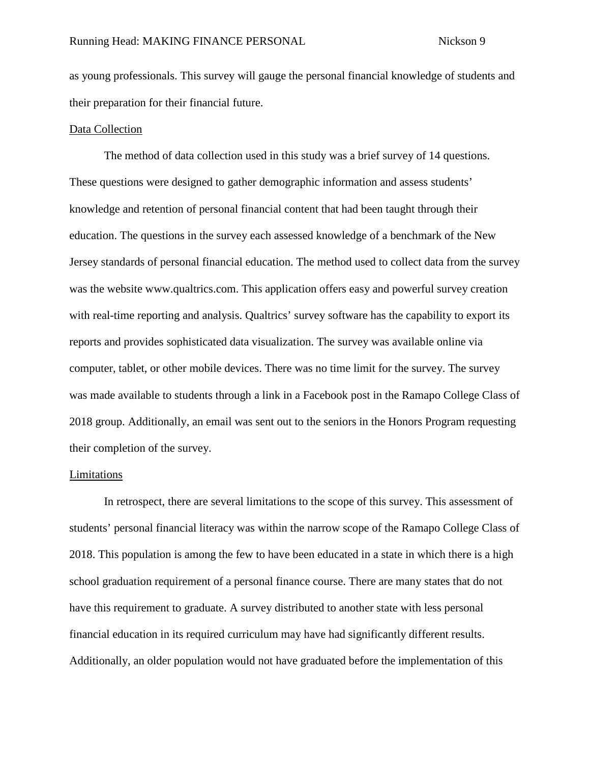as young professionals. This survey will gauge the personal financial knowledge of students and their preparation for their financial future.

#### Data Collection

The method of data collection used in this study was a brief survey of 14 questions. These questions were designed to gather demographic information and assess students' knowledge and retention of personal financial content that had been taught through their education. The questions in the survey each assessed knowledge of a benchmark of the New Jersey standards of personal financial education. The method used to collect data from the survey was the website www.qualtrics.com. This application offers easy and powerful survey creation with real-time reporting and analysis. Qualtrics' survey software has the capability to export its reports and provides sophisticated data visualization. The survey was available online via computer, tablet, or other mobile devices. There was no time limit for the survey. The survey was made available to students through a link in a Facebook post in the Ramapo College Class of 2018 group. Additionally, an email was sent out to the seniors in the Honors Program requesting their completion of the survey.

#### Limitations

In retrospect, there are several limitations to the scope of this survey. This assessment of students' personal financial literacy was within the narrow scope of the Ramapo College Class of 2018. This population is among the few to have been educated in a state in which there is a high school graduation requirement of a personal finance course. There are many states that do not have this requirement to graduate. A survey distributed to another state with less personal financial education in its required curriculum may have had significantly different results. Additionally, an older population would not have graduated before the implementation of this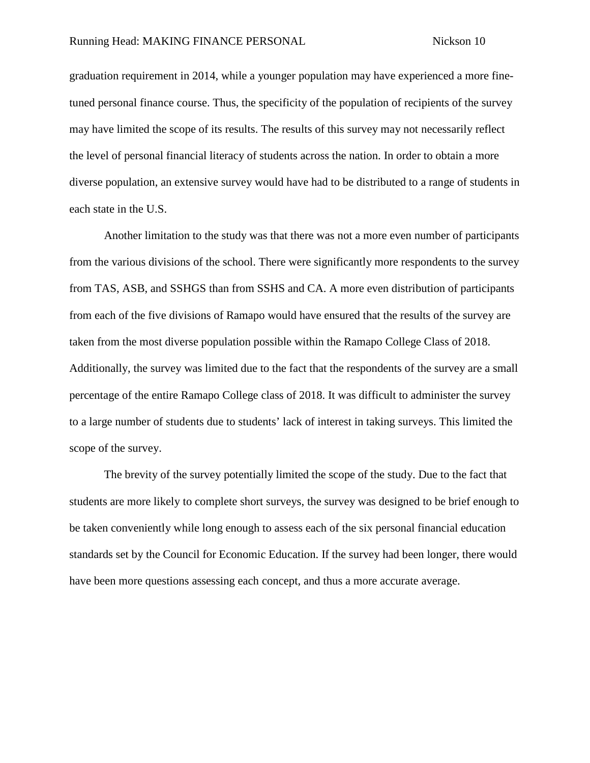graduation requirement in 2014, while a younger population may have experienced a more finetuned personal finance course. Thus, the specificity of the population of recipients of the survey may have limited the scope of its results. The results of this survey may not necessarily reflect the level of personal financial literacy of students across the nation. In order to obtain a more diverse population, an extensive survey would have had to be distributed to a range of students in each state in the U.S.

Another limitation to the study was that there was not a more even number of participants from the various divisions of the school. There were significantly more respondents to the survey from TAS, ASB, and SSHGS than from SSHS and CA. A more even distribution of participants from each of the five divisions of Ramapo would have ensured that the results of the survey are taken from the most diverse population possible within the Ramapo College Class of 2018. Additionally, the survey was limited due to the fact that the respondents of the survey are a small percentage of the entire Ramapo College class of 2018. It was difficult to administer the survey to a large number of students due to students' lack of interest in taking surveys. This limited the scope of the survey.

The brevity of the survey potentially limited the scope of the study. Due to the fact that students are more likely to complete short surveys, the survey was designed to be brief enough to be taken conveniently while long enough to assess each of the six personal financial education standards set by the Council for Economic Education. If the survey had been longer, there would have been more questions assessing each concept, and thus a more accurate average.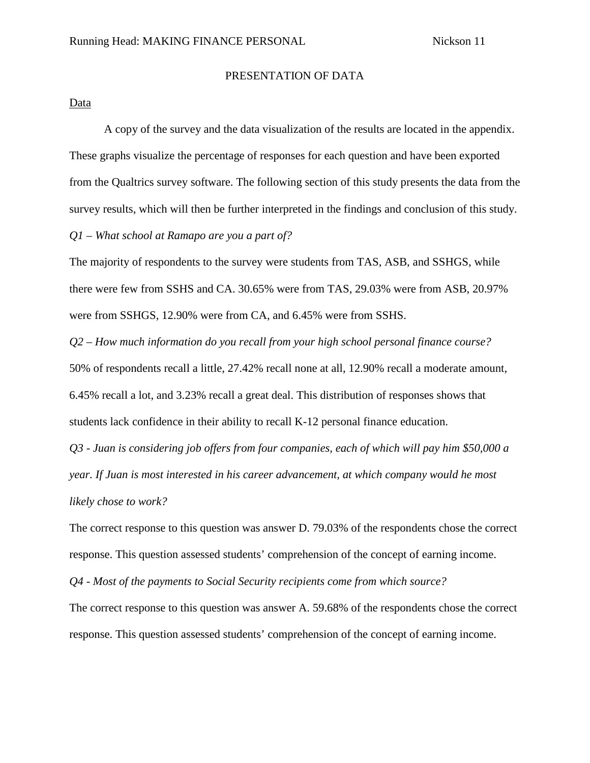## PRESENTATION OF DATA

### Data

A copy of the survey and the data visualization of the results are located in the appendix. These graphs visualize the percentage of responses for each question and have been exported from the Qualtrics survey software. The following section of this study presents the data from the survey results, which will then be further interpreted in the findings and conclusion of this study. *Q1 – What school at Ramapo are you a part of?*

The majority of respondents to the survey were students from TAS, ASB, and SSHGS, while there were few from SSHS and CA. 30.65% were from TAS, 29.03% were from ASB, 20.97% were from SSHGS, 12.90% were from CA, and 6.45% were from SSHS.

*Q2 – How much information do you recall from your high school personal finance course?* 50% of respondents recall a little, 27.42% recall none at all, 12.90% recall a moderate amount, 6.45% recall a lot, and 3.23% recall a great deal. This distribution of responses shows that students lack confidence in their ability to recall K-12 personal finance education.

*Q3 - Juan is considering job offers from four companies, each of which will pay him \$50,000 a year. If Juan is most interested in his career advancement, at which company would he most likely chose to work?*

The correct response to this question was answer D. 79.03% of the respondents chose the correct response. This question assessed students' comprehension of the concept of earning income.

*Q4 - Most of the payments to Social Security recipients come from which source?*

The correct response to this question was answer A. 59.68% of the respondents chose the correct response. This question assessed students' comprehension of the concept of earning income.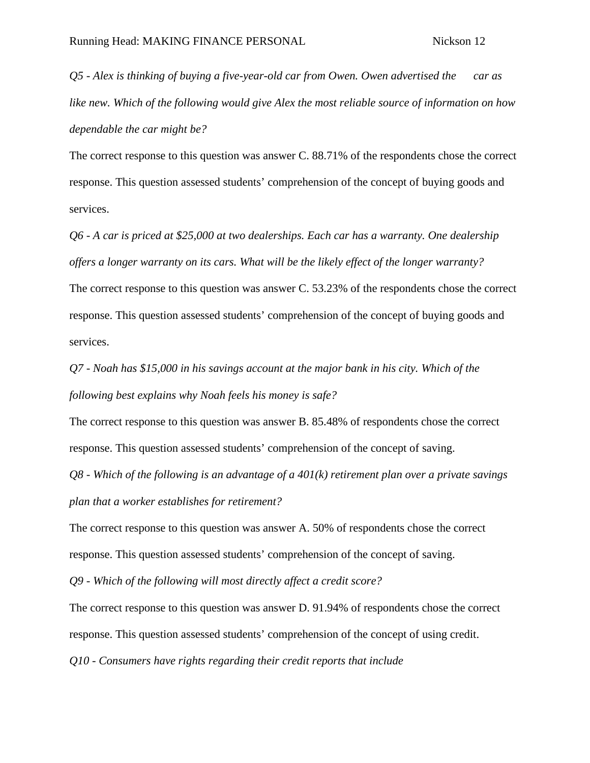*Q5 - Alex is thinking of buying a five-year-old car from Owen. Owen advertised the car as like new. Which of the following would give Alex the most reliable source of information on how dependable the car might be?*

The correct response to this question was answer C. 88.71% of the respondents chose the correct response. This question assessed students' comprehension of the concept of buying goods and services.

*Q6 - A car is priced at \$25,000 at two dealerships. Each car has a warranty. One dealership offers a longer warranty on its cars. What will be the likely effect of the longer warranty?*

The correct response to this question was answer C. 53.23% of the respondents chose the correct response. This question assessed students' comprehension of the concept of buying goods and services.

*Q7 - Noah has \$15,000 in his savings account at the major bank in his city. Which of the following best explains why Noah feels his money is safe?*

The correct response to this question was answer B. 85.48% of respondents chose the correct response. This question assessed students' comprehension of the concept of saving.

*Q8 - Which of the following is an advantage of a 401(k) retirement plan over a private savings plan that a worker establishes for retirement?*

The correct response to this question was answer A. 50% of respondents chose the correct response. This question assessed students' comprehension of the concept of saving.

*Q9 - Which of the following will most directly affect a credit score?*

The correct response to this question was answer D. 91.94% of respondents chose the correct response. This question assessed students' comprehension of the concept of using credit. *Q10 - Consumers have rights regarding their credit reports that include*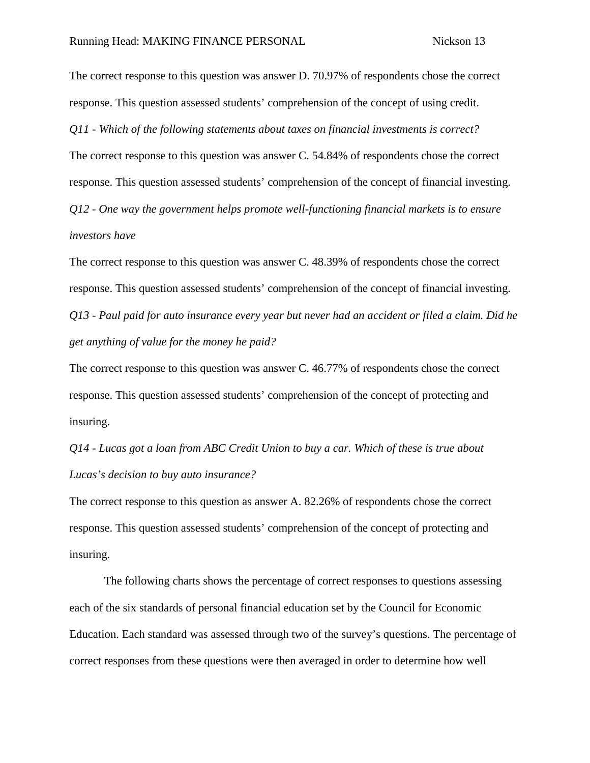The correct response to this question was answer D. 70.97% of respondents chose the correct response. This question assessed students' comprehension of the concept of using credit. *Q11 - Which of the following statements about taxes on financial investments is correct?*

The correct response to this question was answer C. 54.84% of respondents chose the correct response. This question assessed students' comprehension of the concept of financial investing. *Q12 - One way the government helps promote well-functioning financial markets is to ensure investors have*

The correct response to this question was answer C. 48.39% of respondents chose the correct response. This question assessed students' comprehension of the concept of financial investing. *Q13 - Paul paid for auto insurance every year but never had an accident or filed a claim. Did he get anything of value for the money he paid?*

The correct response to this question was answer C. 46.77% of respondents chose the correct response. This question assessed students' comprehension of the concept of protecting and insuring.

*Q14 - Lucas got a loan from ABC Credit Union to buy a car. Which of these is true about Lucas's decision to buy auto insurance?*

The correct response to this question as answer A. 82.26% of respondents chose the correct response. This question assessed students' comprehension of the concept of protecting and insuring.

The following charts shows the percentage of correct responses to questions assessing each of the six standards of personal financial education set by the Council for Economic Education. Each standard was assessed through two of the survey's questions. The percentage of correct responses from these questions were then averaged in order to determine how well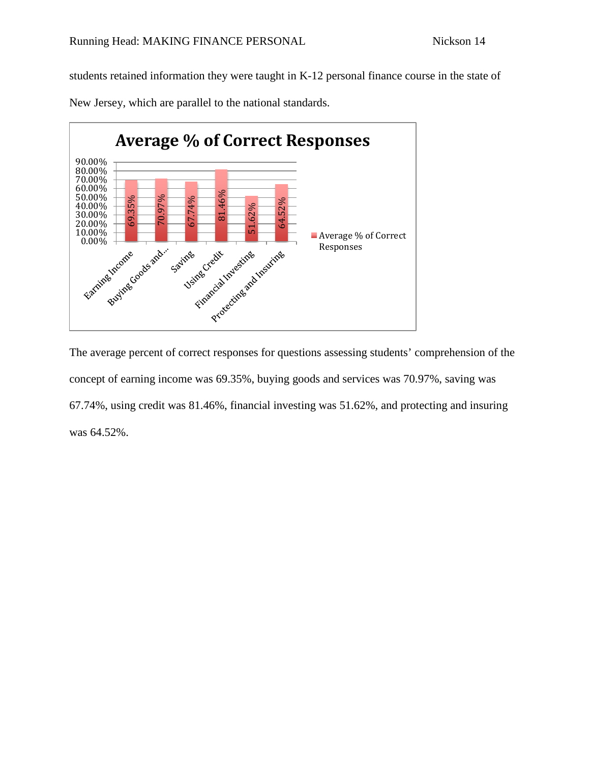students retained information they were taught in K-12 personal finance course in the state of

New Jersey, which are parallel to the national standards.



The average percent of correct responses for questions assessing students' comprehension of the concept of earning income was 69.35%, buying goods and services was 70.97%, saving was 67.74%, using credit was 81.46%, financial investing was 51.62%, and protecting and insuring was 64.52%.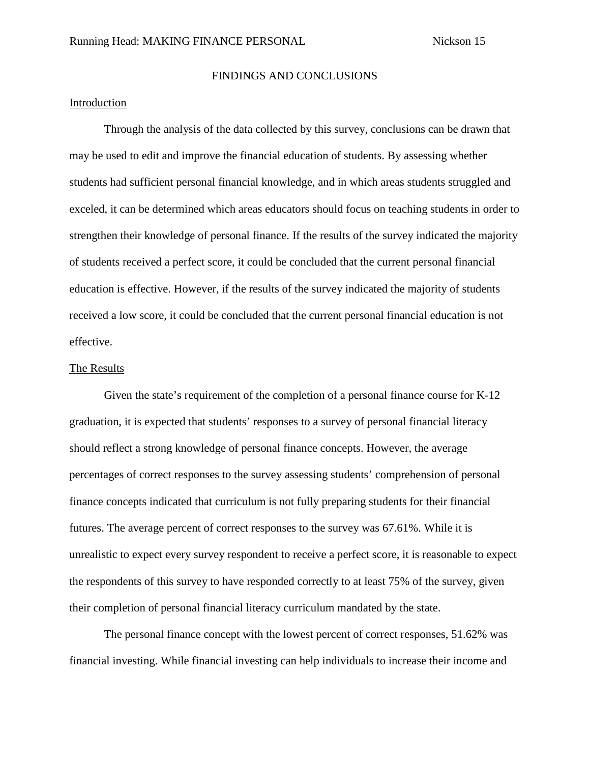### FINDINGS AND CONCLUSIONS

## Introduction

Through the analysis of the data collected by this survey, conclusions can be drawn that may be used to edit and improve the financial education of students. By assessing whether students had sufficient personal financial knowledge, and in which areas students struggled and exceled, it can be determined which areas educators should focus on teaching students in order to strengthen their knowledge of personal finance. If the results of the survey indicated the majority of students received a perfect score, it could be concluded that the current personal financial education is effective. However, if the results of the survey indicated the majority of students received a low score, it could be concluded that the current personal financial education is not effective.

#### The Results

Given the state's requirement of the completion of a personal finance course for K-12 graduation, it is expected that students' responses to a survey of personal financial literacy should reflect a strong knowledge of personal finance concepts. However, the average percentages of correct responses to the survey assessing students' comprehension of personal finance concepts indicated that curriculum is not fully preparing students for their financial futures. The average percent of correct responses to the survey was 67.61%. While it is unrealistic to expect every survey respondent to receive a perfect score, it is reasonable to expect the respondents of this survey to have responded correctly to at least 75% of the survey, given their completion of personal financial literacy curriculum mandated by the state.

The personal finance concept with the lowest percent of correct responses, 51.62% was financial investing. While financial investing can help individuals to increase their income and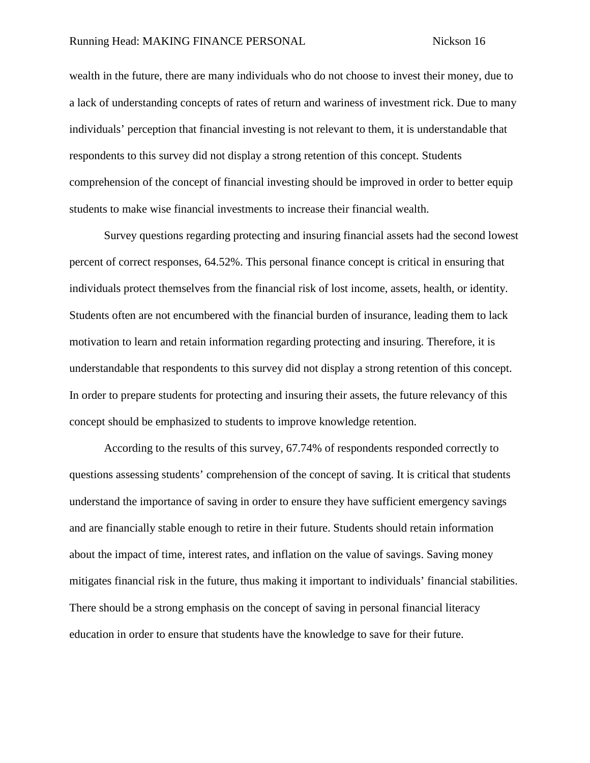wealth in the future, there are many individuals who do not choose to invest their money, due to a lack of understanding concepts of rates of return and wariness of investment rick. Due to many individuals' perception that financial investing is not relevant to them, it is understandable that respondents to this survey did not display a strong retention of this concept. Students comprehension of the concept of financial investing should be improved in order to better equip students to make wise financial investments to increase their financial wealth.

Survey questions regarding protecting and insuring financial assets had the second lowest percent of correct responses, 64.52%. This personal finance concept is critical in ensuring that individuals protect themselves from the financial risk of lost income, assets, health, or identity. Students often are not encumbered with the financial burden of insurance, leading them to lack motivation to learn and retain information regarding protecting and insuring. Therefore, it is understandable that respondents to this survey did not display a strong retention of this concept. In order to prepare students for protecting and insuring their assets, the future relevancy of this concept should be emphasized to students to improve knowledge retention.

According to the results of this survey, 67.74% of respondents responded correctly to questions assessing students' comprehension of the concept of saving. It is critical that students understand the importance of saving in order to ensure they have sufficient emergency savings and are financially stable enough to retire in their future. Students should retain information about the impact of time, interest rates, and inflation on the value of savings. Saving money mitigates financial risk in the future, thus making it important to individuals' financial stabilities. There should be a strong emphasis on the concept of saving in personal financial literacy education in order to ensure that students have the knowledge to save for their future.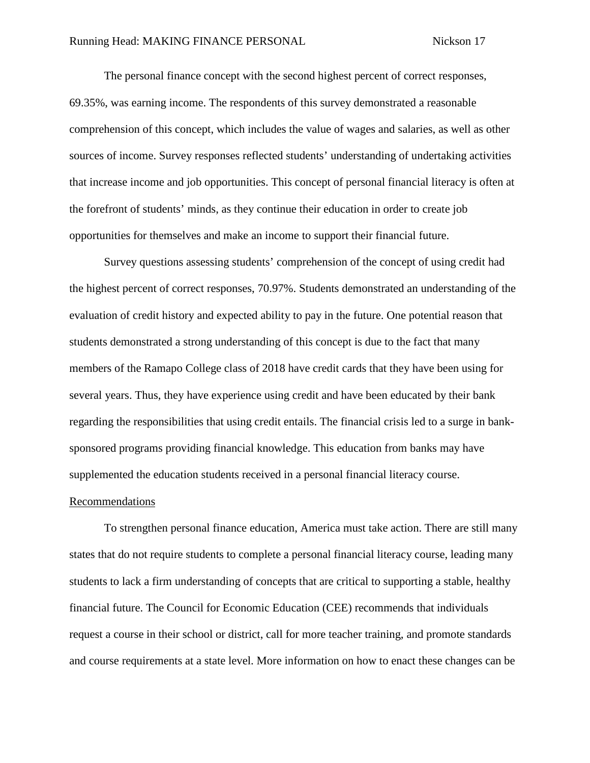The personal finance concept with the second highest percent of correct responses, 69.35%, was earning income. The respondents of this survey demonstrated a reasonable comprehension of this concept, which includes the value of wages and salaries, as well as other sources of income. Survey responses reflected students' understanding of undertaking activities that increase income and job opportunities. This concept of personal financial literacy is often at the forefront of students' minds, as they continue their education in order to create job opportunities for themselves and make an income to support their financial future.

Survey questions assessing students' comprehension of the concept of using credit had the highest percent of correct responses, 70.97%. Students demonstrated an understanding of the evaluation of credit history and expected ability to pay in the future. One potential reason that students demonstrated a strong understanding of this concept is due to the fact that many members of the Ramapo College class of 2018 have credit cards that they have been using for several years. Thus, they have experience using credit and have been educated by their bank regarding the responsibilities that using credit entails. The financial crisis led to a surge in banksponsored programs providing financial knowledge. This education from banks may have supplemented the education students received in a personal financial literacy course.

#### Recommendations

To strengthen personal finance education, America must take action. There are still many states that do not require students to complete a personal financial literacy course, leading many students to lack a firm understanding of concepts that are critical to supporting a stable, healthy financial future. The Council for Economic Education (CEE) recommends that individuals request a course in their school or district, call for more teacher training, and promote standards and course requirements at a state level. More information on how to enact these changes can be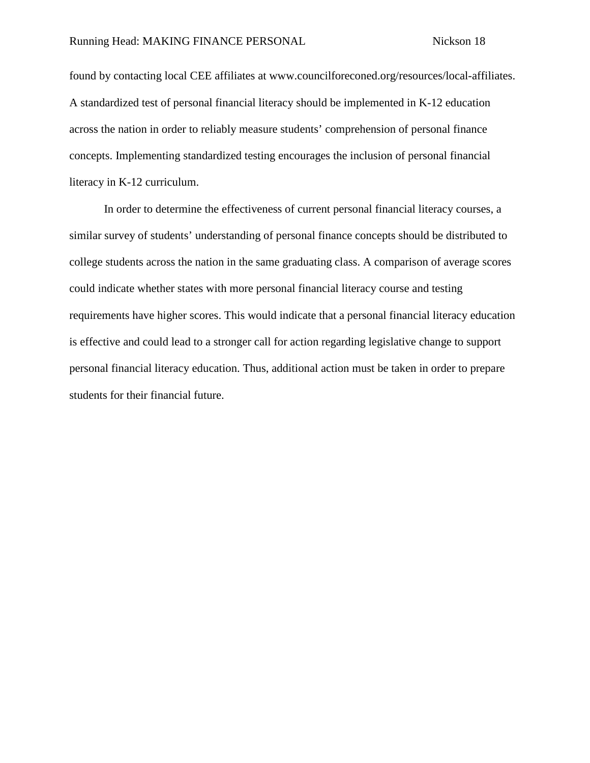found by contacting local CEE affiliates at www.councilforeconed.org/resources/local-affiliates. A standardized test of personal financial literacy should be implemented in K-12 education across the nation in order to reliably measure students' comprehension of personal finance concepts. Implementing standardized testing encourages the inclusion of personal financial literacy in K-12 curriculum.

In order to determine the effectiveness of current personal financial literacy courses, a similar survey of students' understanding of personal finance concepts should be distributed to college students across the nation in the same graduating class. A comparison of average scores could indicate whether states with more personal financial literacy course and testing requirements have higher scores. This would indicate that a personal financial literacy education is effective and could lead to a stronger call for action regarding legislative change to support personal financial literacy education. Thus, additional action must be taken in order to prepare students for their financial future.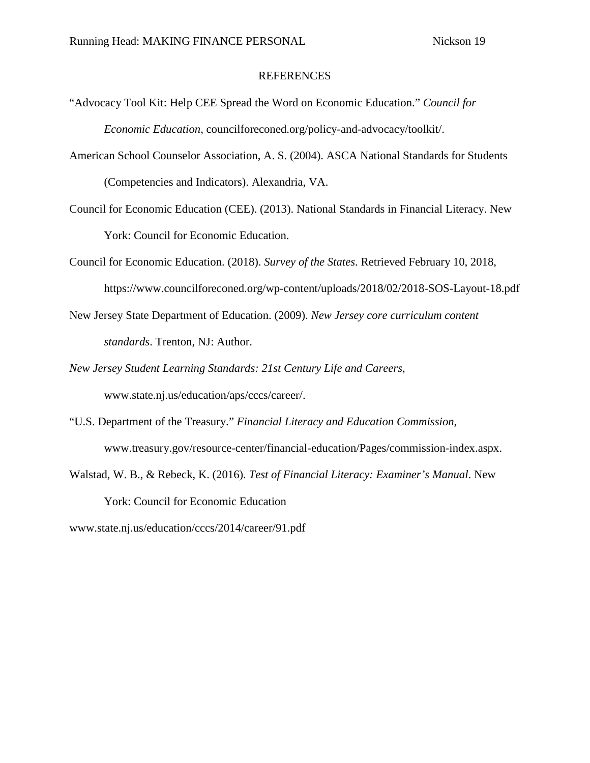### **REFERENCES**

- "Advocacy Tool Kit: Help CEE Spread the Word on Economic Education." *Council for Economic Education*, councilforeconed.org/policy-and-advocacy/toolkit/.
- American School Counselor Association, A. S. (2004). ASCA National Standards for Students (Competencies and Indicators). Alexandria, VA.
- Council for Economic Education (CEE). (2013). National Standards in Financial Literacy. New York: Council for Economic Education.
- Council for Economic Education. (2018). *Survey of the States*. Retrieved February 10, 2018, https://www.councilforeconed.org/wp-content/uploads/2018/02/2018-SOS-Layout-18.pdf
- New Jersey State Department of Education. (2009). *New Jersey core curriculum content standards*. Trenton, NJ: Author.
- *New Jersey Student Learning Standards: 21st Century Life and Careers*, www.state.nj.us/education/aps/cccs/career/.
- "U.S. Department of the Treasury." *Financial Literacy and Education Commission*, www.treasury.gov/resource-center/financial-education/Pages/commission-index.aspx.
- Walstad, W. B., & Rebeck, K. (2016). *Test of Financial Literacy: Examiner's Manual*. New York: Council for Economic Education

www.state.nj.us/education/cccs/2014/career/91.pdf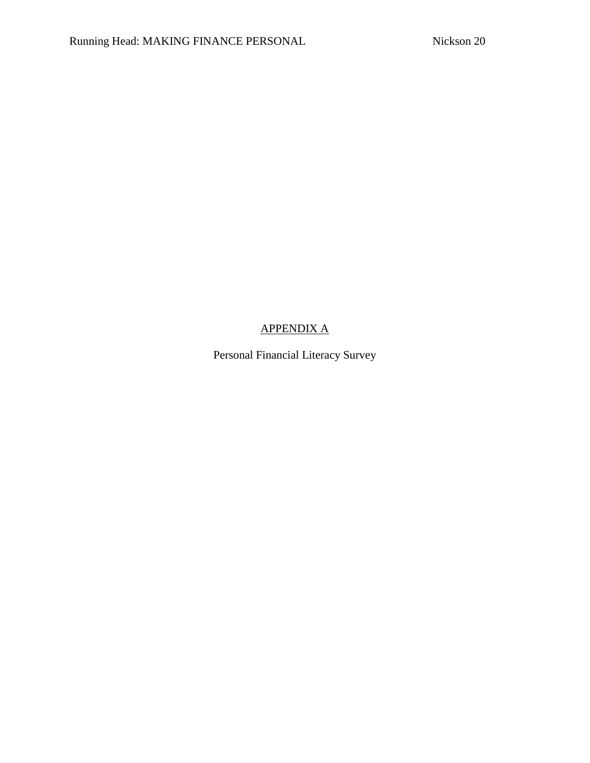# APPENDIX A

Personal Financial Literacy Survey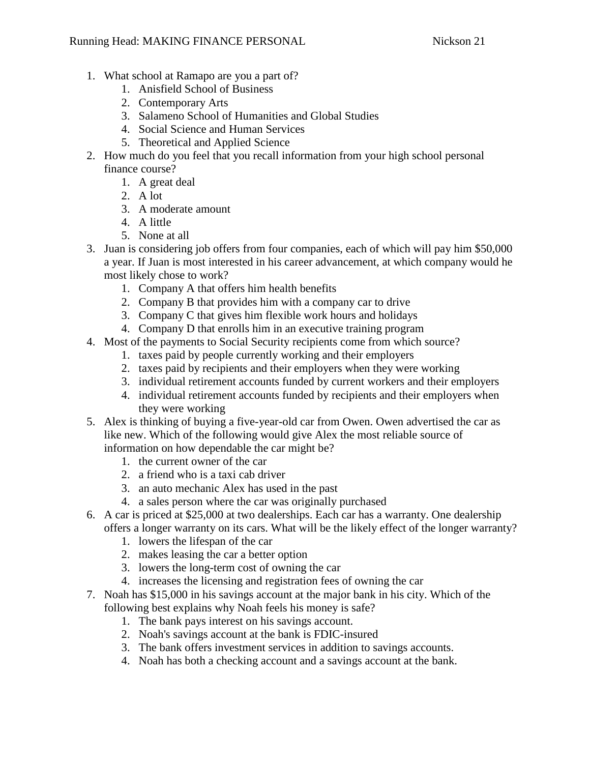- 1. What school at Ramapo are you a part of?
	- 1. Anisfield School of Business
	- 2. Contemporary Arts
	- 3. Salameno School of Humanities and Global Studies
	- 4. Social Science and Human Services
	- 5. Theoretical and Applied Science
- 2. How much do you feel that you recall information from your high school personal finance course?
	- 1. A great deal
	- 2. A lot
	- 3. A moderate amount
	- 4. A little
	- 5. None at all
- 3. Juan is considering job offers from four companies, each of which will pay him \$50,000 a year. If Juan is most interested in his career advancement, at which company would he most likely chose to work?
	- 1. Company A that offers him health benefits
	- 2. Company B that provides him with a company car to drive
	- 3. Company C that gives him flexible work hours and holidays
	- 4. Company D that enrolls him in an executive training program
- 4. Most of the payments to Social Security recipients come from which source?
	- 1. taxes paid by people currently working and their employers
	- 2. taxes paid by recipients and their employers when they were working
	- 3. individual retirement accounts funded by current workers and their employers
	- 4. individual retirement accounts funded by recipients and their employers when they were working
- 5. Alex is thinking of buying a five-year-old car from Owen. Owen advertised the car as like new. Which of the following would give Alex the most reliable source of information on how dependable the car might be?
	- 1. the current owner of the car
	- 2. a friend who is a taxi cab driver
	- 3. an auto mechanic Alex has used in the past
	- 4. a sales person where the car was originally purchased
- 6. A car is priced at \$25,000 at two dealerships. Each car has a warranty. One dealership offers a longer warranty on its cars. What will be the likely effect of the longer warranty?
	- 1. lowers the lifespan of the car
	- 2. makes leasing the car a better option
	- 3. lowers the long-term cost of owning the car
	- 4. increases the licensing and registration fees of owning the car
- 7. Noah has \$15,000 in his savings account at the major bank in his city. Which of the following best explains why Noah feels his money is safe?
	- 1. The bank pays interest on his savings account.
	- 2. Noah's savings account at the bank is FDIC-insured
	- 3. The bank offers investment services in addition to savings accounts.
	- 4. Noah has both a checking account and a savings account at the bank.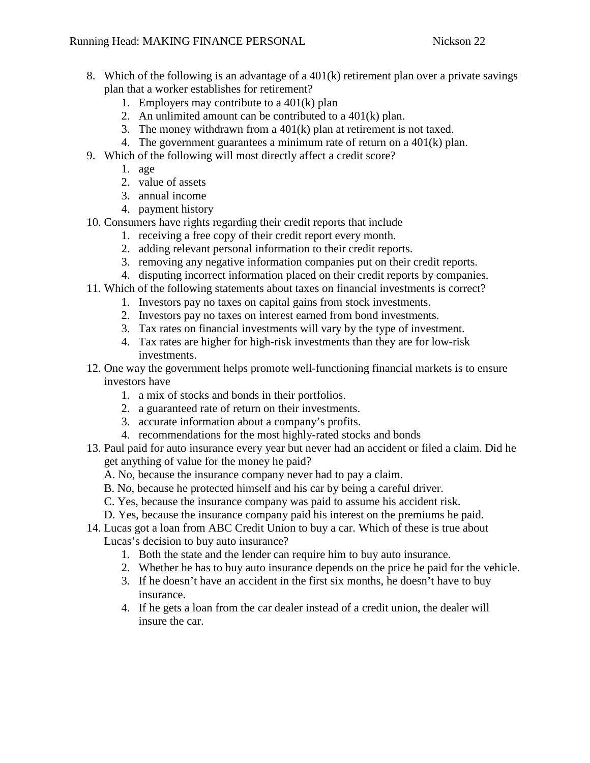- 8. Which of the following is an advantage of a  $401(k)$  retirement plan over a private savings plan that a worker establishes for retirement?
	- 1. Employers may contribute to a 401(k) plan
	- 2. An unlimited amount can be contributed to a  $401(k)$  plan.
	- 3. The money withdrawn from a 401(k) plan at retirement is not taxed.
	- 4. The government guarantees a minimum rate of return on a 401(k) plan.
- 9. Which of the following will most directly affect a credit score?
	- 1. age
	- 2. value of assets
	- 3. annual income
	- 4. payment history
- 10. Consumers have rights regarding their credit reports that include
	- 1. receiving a free copy of their credit report every month.
	- 2. adding relevant personal information to their credit reports.
	- 3. removing any negative information companies put on their credit reports.
	- 4. disputing incorrect information placed on their credit reports by companies.
- 11. Which of the following statements about taxes on financial investments is correct?
	- 1. Investors pay no taxes on capital gains from stock investments.
	- 2. Investors pay no taxes on interest earned from bond investments.
	- 3. Tax rates on financial investments will vary by the type of investment.
	- 4. Tax rates are higher for high-risk investments than they are for low-risk investments.
- 12. One way the government helps promote well-functioning financial markets is to ensure investors have
	- 1. a mix of stocks and bonds in their portfolios.
	- 2. a guaranteed rate of return on their investments.
	- 3. accurate information about a company's profits.
	- 4. recommendations for the most highly-rated stocks and bonds
- 13. Paul paid for auto insurance every year but never had an accident or filed a claim. Did he get anything of value for the money he paid?
	- A. No, because the insurance company never had to pay a claim.
	- B. No, because he protected himself and his car by being a careful driver.
	- C. Yes, because the insurance company was paid to assume his accident risk.
	- D. Yes, because the insurance company paid his interest on the premiums he paid.
- 14. Lucas got a loan from ABC Credit Union to buy a car. Which of these is true about Lucas's decision to buy auto insurance?
	- 1. Both the state and the lender can require him to buy auto insurance.
	- 2. Whether he has to buy auto insurance depends on the price he paid for the vehicle.
	- 3. If he doesn't have an accident in the first six months, he doesn't have to buy insurance.
	- 4. If he gets a loan from the car dealer instead of a credit union, the dealer will insure the car.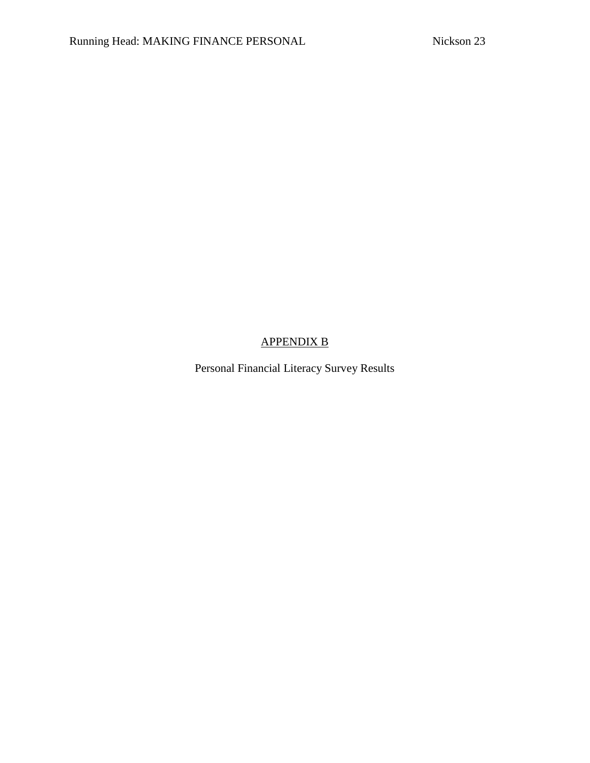# APPENDIX B

Personal Financial Literacy Survey Results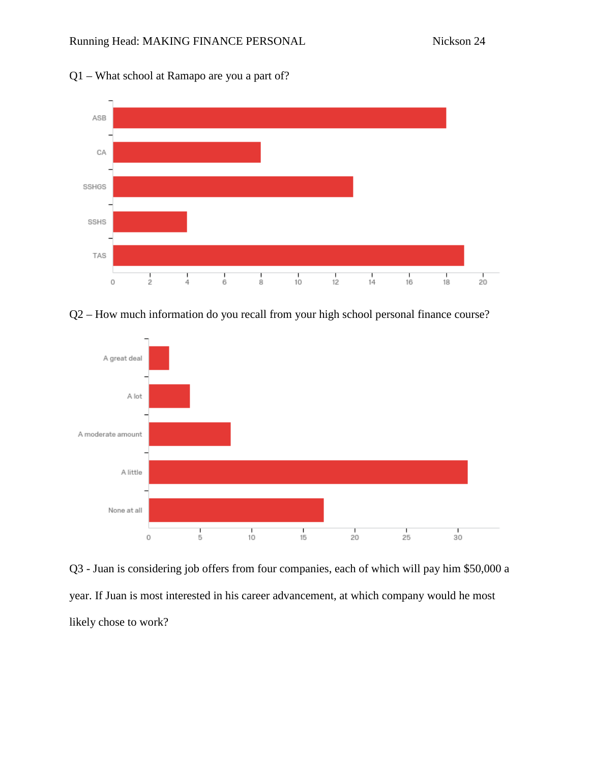

Q1 – What school at Ramapo are you a part of?





Q3 - Juan is considering job offers from four companies, each of which will pay him \$50,000 a year. If Juan is most interested in his career advancement, at which company would he most likely chose to work?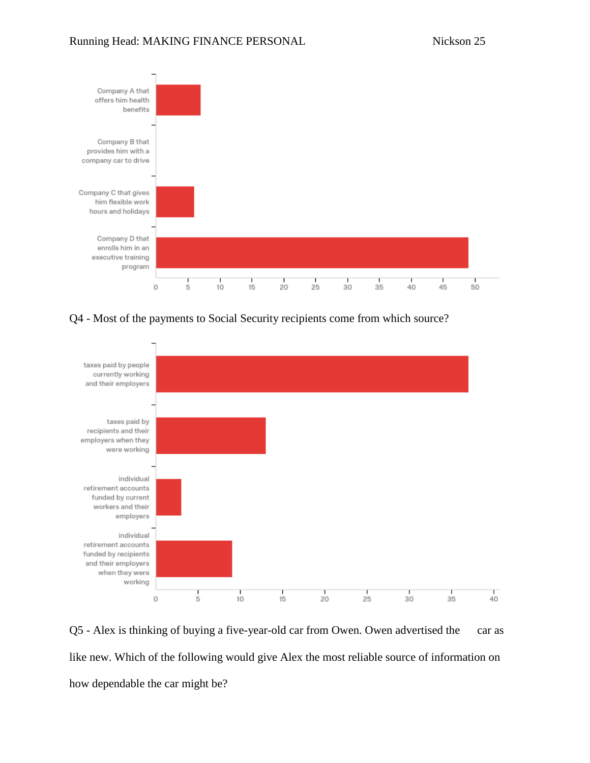

Q4 - Most of the payments to Social Security recipients come from which source?



Q5 - Alex is thinking of buying a five-year-old car from Owen. Owen advertised the car as like new. Which of the following would give Alex the most reliable source of information on how dependable the car might be?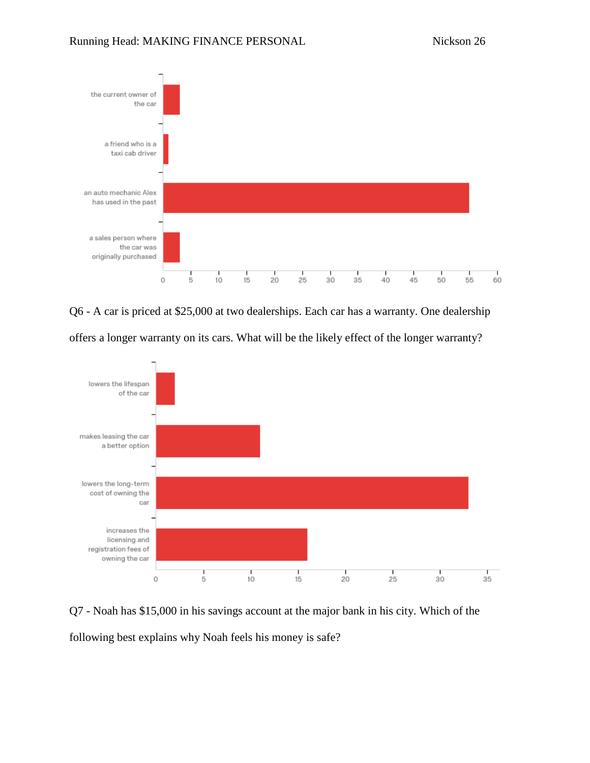

Q6 - A car is priced at \$25,000 at two dealerships. Each car has a warranty. One dealership





Q7 - Noah has \$15,000 in his savings account at the major bank in his city. Which of the following best explains why Noah feels his money is safe?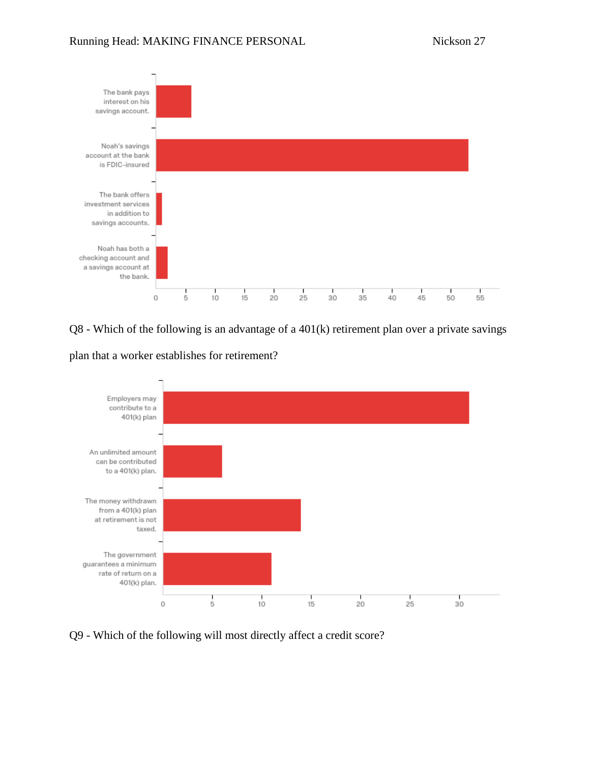

Q8 - Which of the following is an advantage of a 401(k) retirement plan over a private savings

plan that a worker establishes for retirement?



Q9 - Which of the following will most directly affect a credit score?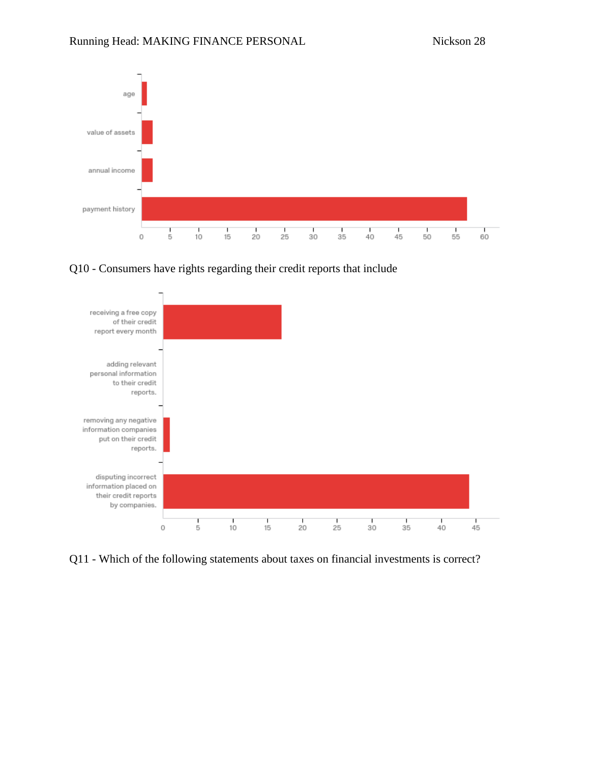

Q10 - Consumers have rights regarding their credit reports that include



Q11 - Which of the following statements about taxes on financial investments is correct?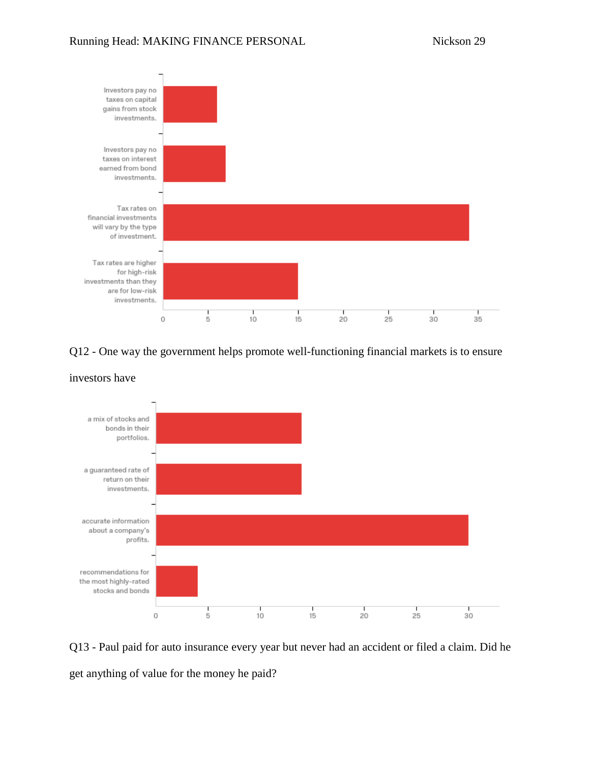

## Q12 - One way the government helps promote well-functioning financial markets is to ensure



investors have

Q13 - Paul paid for auto insurance every year but never had an accident or filed a claim. Did he get anything of value for the money he paid?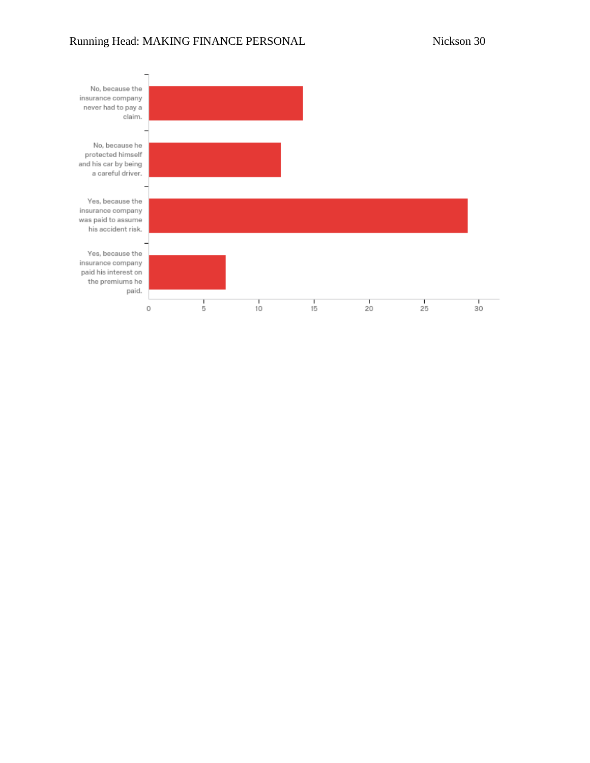## Running Head: MAKING FINANCE PERSONAL Nickson 30

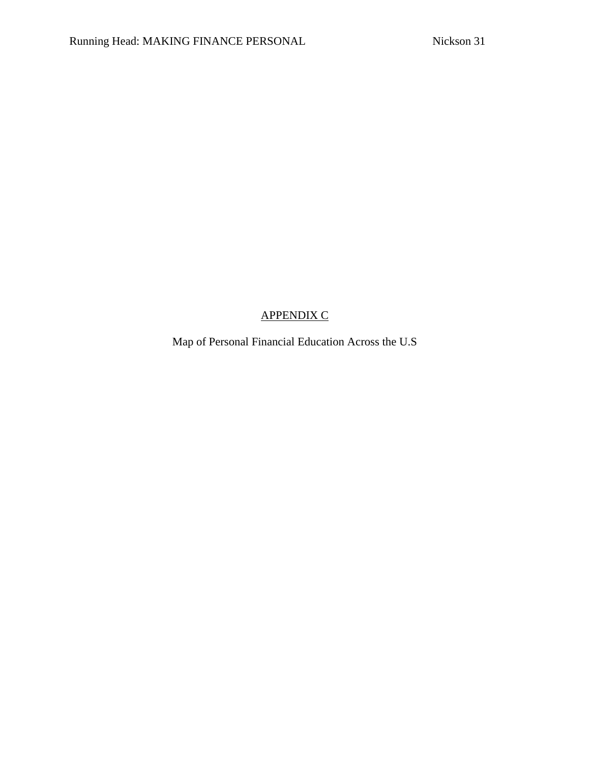# APPENDIX C

Map of Personal Financial Education Across the U.S